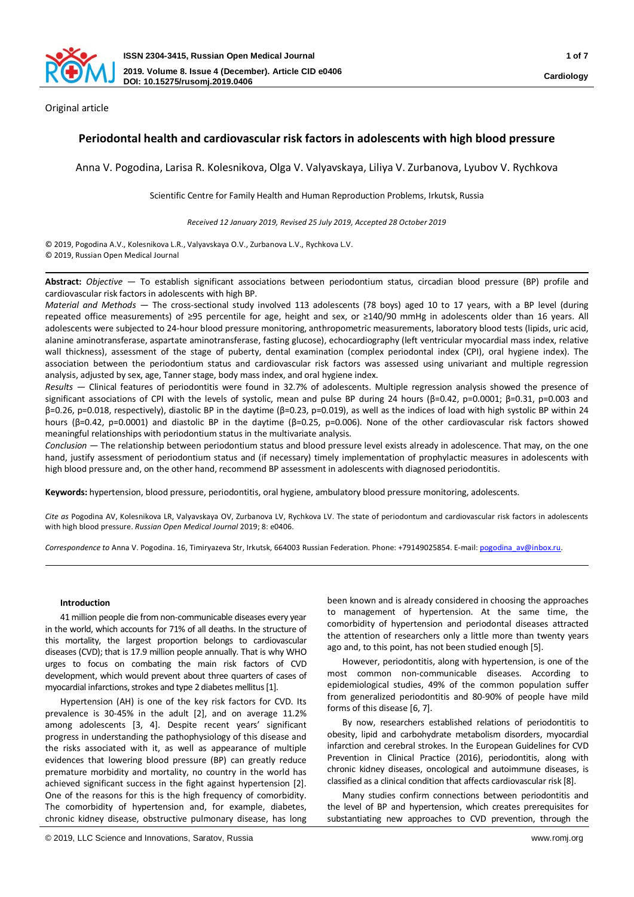

Original article

# **Periodontal health and cardiovascular risk factors in adolescents with high blood pressure**

Anna V. Pogodina, Larisa R. Kolesnikova, Olga V. Valyavskaya, Liliya V. Zurbanova, Lyubov V. Rychkova

Scientific Сentre for Family Health and Human Reproduction Problems, Irkutsk, Russia

*Received 12 January 2019, Revised 25 July 2019, Accepted 28 October 2019*

© 2019, Pogodina A.V., Kolesnikova L.R., Valyavskaya O.V., Zurbanova L.V., Rychkova L.V. © 2019, Russian Open Medical Journal

**Abstract:** *Objective* — To establish significant associations between periodontium status, circadian blood pressure (BP) profile and cardiovascular risk factors in adolescents with high BP.

*Material and Methods* — The cross-sectional study involved 113 adolescents (78 boys) aged 10 to 17 years, with a BP level (during repeated office measurements) of ≥95 percentile for age, height and sex, or ≥140/90 mmHg in adolescents older than 16 years. All adolescents were subjected to 24-hour blood pressure monitoring, anthropometric measurements, laboratory blood tests (lipids, uric acid, alanine aminotransferase, aspartate aminotransferase, fasting glucose), echocardiography (left ventricular myocardial mass index, relative wall thickness), assessment of the stage of puberty, dental examination (complex periodontal index (CPI), oral hygiene index). The association between the periodontium status and cardiovascular risk factors was assessed using univariant and multiple regression analysis, adjusted by sex, age, Tanner stage, body mass index, and oral hygiene index.

*Results* — Clinical features of periodontitis were found in 32.7% of adolescents. Multiple regression analysis showed the presence of significant associations of CPI with the levels of systolic, mean and pulse BP during 24 hours (β=0.42, р=0.0001; β=0.31, р=0.003 and β=0.26, р=0.018, respectively), diastolic BP in the daytime (β=0.23, р=0.019), as well as the indices of load with high systolic BP within 24 hours (β=0.42, р=0.0001) and diastolic BP in the daytime (β=0.25, р=0.006). None of the other cardiovascular risk factors showed meaningful relationships with periodontium status in the multivariate analysis.

*Conclusion* — The relationship between periodontium status and blood pressure level exists already in adolescence. That may, on the one hand, justify assessment of periodontium status and (if necessary) timely implementation of prophylactic measures in adolescents with high blood pressure and, on the other hand, recommend BP assessment in adolescents with diagnosed periodontitis.

**Keywords:** hypertension, blood pressure, periodontitis, oral hygiene, ambulatory blood pressure monitoring, adolescents.

*Cite as* Pogodina AV, Kolesnikova LR, Valyavskaya OV, Zurbanova LV, Rychkova LV. The state of periodontum and cardiovascular risk factors in adolescents with high blood pressure. *Russian Open Medical Journal* 2019; 8: e0406.

*Correspondence to* Anna V. Pogodina. 16, Timiryazeva Str, Irkutsk, 664003 Russian Federation. Phone: +79149025854. E-mail: [pogodina\\_av@inbox.ru](mailto:pogodina_av@inbox.ru).

### **Introduction**

41 million people die from non-communicable diseases every year in the world, which accounts for 71% of all deaths. In the structure of this mortality, the largest proportion belongs to cardiovascular diseases (CVD); that is 17.9 million people annually. That is why WHO urges to focus on combating the main risk factors of CVD development, which would prevent about three quarters of cases of myocardial infarctions, strokes and type 2 diabetes mellitus[1].

Hypertension (AH) is one of the key risk factors for CVD. Its prevalence is 30-45% in the adult [2], and on average 11.2% among adolescents [3, 4]. Despite recent years' significant progress in understanding the pathophysiology of this disease and the risks associated with it, as well as appearance of multiple evidences that lowering blood pressure (BP) can greatly reduce premature morbidity and mortality, no country in the world has achieved significant success in the fight against hypertension [2]. One of the reasons for this is the high frequency of comorbidity. The comorbidity of hypertension and, for example, diabetes, chronic kidney disease, obstructive pulmonary disease, has long

been known and is already considered in choosing the approaches to management of hypertension. At the same time, the comorbidity of hypertension and periodontal diseases attracted the attention of researchers only a little more than twenty years ago and, to this point, has not been studied enough [5].

However, periodontitis, along with hypertension, is one of the most common non-communicable diseases. According to epidemiological studies, 49% of the common population suffer from generalized periodontitis and 80-90% of people have mild forms of this disease [6, 7].

By now, researchers established relations of periodontitis to obesity, lipid and carbohydrate metabolism disorders, myocardial infarction and cerebral strokes. In the European Guidelines for CVD Prevention in Clinical Practice (2016), periodontitis, along with chronic kidney diseases, oncological and autoimmune diseases, is classified as a clinical condition that affects cardiovascular risk [8].

Many studies confirm connections between periodontitis and the level of BP and hypertension, which creates prerequisites for substantiating new approaches to CVD prevention, through the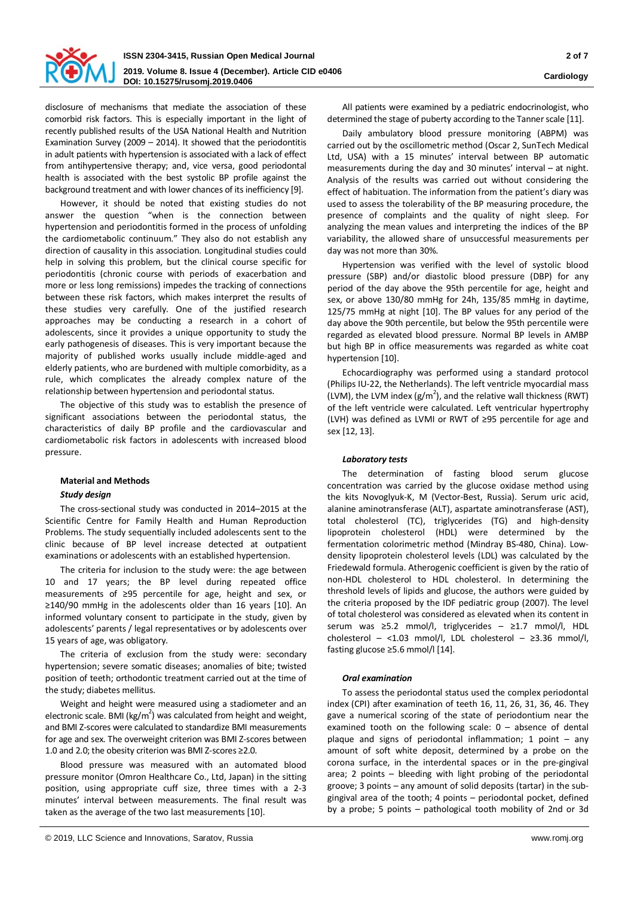

disclosure of mechanisms that mediate the association of these comorbid risk factors. This is especially important in the light of recently published results of the USA National Health and Nutrition Examination Survey (2009 – 2014). It showed that the periodontitis in adult patients with hypertension is associated with a lack of effect from antihypertensive therapy; and, vice versa, good periodontal health is associated with the best systolic BP profile against the background treatment and with lower chances of its inefficiency [9].

However, it should be noted that existing studies do not answer the question "when is the connection between hypertension and periodontitis formed in the process of unfolding the cardiometabolic continuum." They also do not establish any direction of causality in this association. Longitudinal studies could help in solving this problem, but the clinical course specific for periodontitis (chronic course with periods of exacerbation and more or less long remissions) impedes the tracking of connections between these risk factors, which makes interpret the results of these studies very carefully. One of the justified research approaches may be conducting a research in a cohort of adolescents, since it provides a unique opportunity to study the early pathogenesis of diseases. This is very important because the majority of published works usually include middle-aged and elderly patients, who are burdened with multiple comorbidity, as a rule, which complicates the already complex nature of the relationship between hypertension and periodontal status.

The objective of this study was to establish the presence of significant associations between the periodontal status, the characteristics of daily BP profile and the cardiovascular and cardiometabolic risk factors in adolescents with increased blood pressure.

# **Material and Methods**

# *Study design*

The cross-sectional study was conducted in 2014–2015 at the Scientific Сentre for Family Health and Human Reproduction Problems. The study sequentially included adolescents sent to the clinic because of BP level increase detected at outpatient examinations or adolescents with an established hypertension.

The criteria for inclusion to the study were: the age between 10 and 17 years; the BP level during repeated office measurements of ≥95 percentile for age, height and sex, or ≥140/90 mmHg in the adolescents older than 16 years [10]. An informed voluntary consent to participate in the study, given by adolescents' parents / legal representatives or by adolescents over 15 years of age, was obligatory.

The criteria of exclusion from the study were: secondary hypertension; severe somatic diseases; anomalies of bite; twisted position of teeth; orthodontic treatment carried out at the time of the study; diabetes mellitus.

Weight and height were measured using a stadiometer and an electronic scale. BMI (kg/m<sup>2</sup>) was calculated from height and weight, and BMI Z-scores were calculated to standardize BMI measurements for age and sex. The overweight criterion was BMI Z-scores between 1.0 and 2.0; the obesity criterion was BMI Z-scores ≥2.0.

Blood pressure was measured with an automated blood pressure monitor (Omron Healthcare Co., Ltd, Japan) in the sitting position, using appropriate cuff size, three times with a 2-3 minutes' interval between measurements. The final result was taken as the average of the two last measurements [10].

Daily ambulatory blood pressure monitoring (ABPM) was carried out by the oscillometric method (Oscar 2, SunTech Medical Ltd, USA) with a 15 minutes' interval between BP automatic measurements during the day and 30 minutes' interval – at night. Analysis of the results was carried out without considering the effect of habituation. The information from the patient's diary was used to assess the tolerability of the BP measuring procedure, the presence of complaints and the quality of night sleep. For analyzing the mean values and interpreting the indices of the BP variability, the allowed share of unsuccessful measurements per day was not more than 30%.

Hypertension was verified with the level of systolic blood pressure (SBP) and/or diastolic blood pressure (DBP) for any period of the day above the 95th percentile for age, height and sex, or above 130/80 mmHg for 24h, 135/85 mmHg in daytime, 125/75 mmHg at night [10]. The BP values for any period of the day above the 90th percentile, but below the 95th percentile were regarded as elevated blood pressure. Normal BP levels in AMBP but high BP in office measurements was regarded as white coat hypertension [10].

Echocardiography was performed using a standard protocol (Philips IU-22, the Netherlands). The left ventricle myocardial mass (LVM), the LVM index  $(g/m^2)$ , and the relative wall thickness (RWT) of the left ventricle were calculated. Left ventricular hypertrophy (LVH) was defined as LVMI or RWT of ≥95 percentile for age and sex [12, 13].

# *Laboratory tests*

The determination of fasting blood serum glucose concentration was carried by the glucose oxidase method using the kits Novoglyuk-K, M (Vector-Best, Russia). Serum uric acid, alanine aminotransferase (ALT), aspartate aminotransferase (AST), total cholesterol (TC), triglycerides (TG) and high-density lipoprotein cholesterol (HDL) were determined by the fermentation colorimetric method (Mindray BS-480, China). Lowdensity lipoprotein cholesterol levels (LDL) was calculated by the Friedewald formula. Atherogenic coefficient is given by the ratio of non-HDL cholesterol to HDL cholesterol. In determining the threshold levels of lipids and glucose, the authors were guided by the criteria proposed by the IDF pediatric group (2007). The level of total cholesterol was considered as elevated when its content in serum was ≥5.2 mmol/l, triglycerides – ≥1.7 mmol/l, HDL cholesterol – <1.03 mmol/l, LDL cholesterol – ≥3.36 mmol/l, fasting glucose ≥5.6 mmol/l [14].

# *Oral examination*

To assess the periodontal status used the complex periodontal index (CPI) after examination of teeth 16, 11, 26, 31, 36, 46. They gave a numerical scoring of the state of periodontium near the examined tooth on the following scale:  $0 -$  absence of dental plaque and signs of periodontal inflammation; 1 point – any amount of soft white deposit, determined by a probe on the corona surface, in the interdental spaces or in the pre-gingival area; 2 points – bleeding with light probing of the periodontal groove; 3 points – any amount of solid deposits (tartar) in the subgingival area of the tooth; 4 points – periodontal pocket, defined by a probe; 5 points – pathological tooth mobility of 2nd or 3d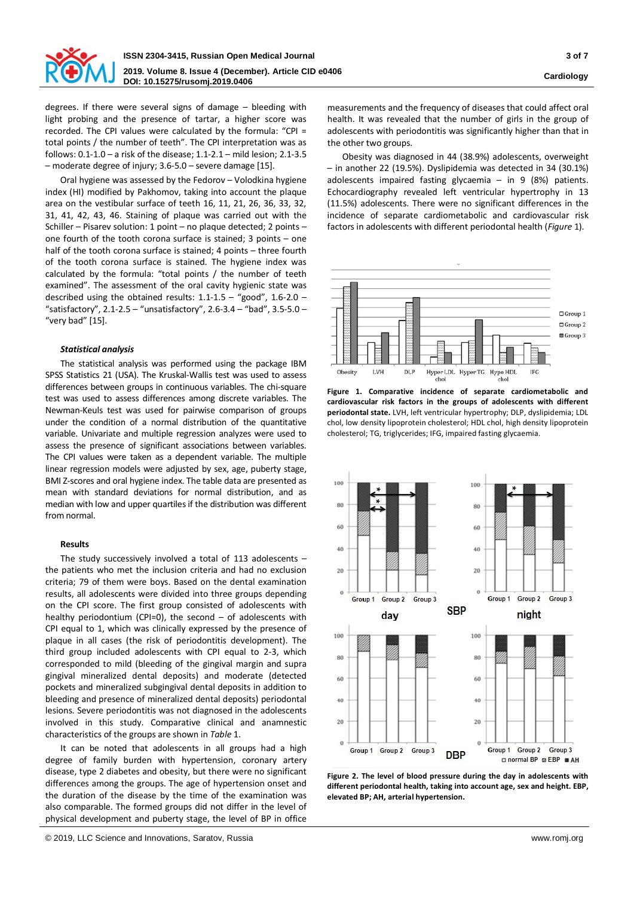

degrees. If there were several signs of damage – bleeding with light probing and the presence of tartar, a higher score was recorded. The CPI values were calculated by the formula: "CPI = total points / the number of teeth". The CPI interpretation was as follows: 0.1-1.0 – a risk of the disease; 1.1-2.1 – mild lesion; 2.1-3.5 – moderate degree of injury; 3.6-5.0 – severe damage [15].

Oral hygiene was assessed by the Fedorov – Volodkina hygiene index (HI) modified by Pakhomov, taking into account the plaque area on the vestibular surface of teeth 16, 11, 21, 26, 36, 33, 32, 31, 41, 42, 43, 46. Staining of plaque was carried out with the Schiller – Pisarev solution: 1 point – no plaque detected; 2 points – one fourth of the tooth corona surface is stained; 3 points – one half of the tooth corona surface is stained; 4 points – three fourth of the tooth corona surface is stained. The hygiene index was calculated by the formula: "total points / the number of teeth examined". The assessment of the oral cavity hygienic state was described using the obtained results: 1.1-1.5 – "good", 1.6-2.0 – "satisfactory",  $2.1 - 2.5 -$  "unsatisfactory",  $2.6 - 3.4 -$  "bad",  $3.5 - 5.0 -$ "very bad" [15].

#### *Statistical analysis*

The statistical analysis was performed using the package IBM SPSS Statistics 21 (USA). The Kruskal-Wallis test was used to assess differences between groups in continuous variables. The chi-square test was used to assess differences among discrete variables. The Newman-Keuls test was used for pairwise comparison of groups under the condition of a normal distribution of the quantitative variable. Univariate and multiple regression analyzes were used to assess the presence of significant associations between variables. The CPI values were taken as a dependent variable. The multiple linear regression models were adjusted by sex, age, puberty stage, BMI Z-scores and oral hygiene index. The table data are presented as mean with standard deviations for normal distribution, and as median with low and upper quartiles if the distribution was different from normal.

## **Results**

The study successively involved a total of 113 adolescents – the patients who met the inclusion criteria and had no exclusion criteria; 79 of them were boys. Based on the dental examination results, all adolescents were divided into three groups depending on the CPI score. The first group consisted of adolescents with healthy periodontium (CPI=0), the second  $-$  of adolescents with CPI equal to 1, which was clinically expressed by the presence of plaque in all cases (the risk of periodontitis development). The third group included adolescents with CPI equal to 2-3, which corresponded to mild (bleeding of the gingival margin and supra gingival mineralized dental deposits) and moderate (detected pockets and mineralized subgingival dental deposits in addition to bleeding and presence of mineralized dental deposits) periodontal lesions. Severe periodontitis was not diagnosed in the adolescents involved in this study. Comparative clinical and anamnestic characteristics of the groups are shown in *Table* 1.

It can be noted that adolescents in all groups had a high degree of family burden with hypertension, coronary artery disease, type 2 diabetes and obesity, but there were no significant differences among the groups. The age of hypertension onset and the duration of the disease by the time of the examination was also comparable. The formed groups did not differ in the level of physical development and puberty stage, the level of BP in office

measurements and the frequency of diseases that could affect oral health. It was revealed that the number of girls in the group of adolescents with periodontitis was significantly higher than that in the other two groups.

Obesity was diagnosed in 44 (38.9%) adolescents, overweight – in another 22 (19.5%). Dyslipidemia was detected in 34 (30.1%) adolescents impaired fasting glycaemia – in 9 (8%) patients. Echocardiography revealed left ventricular hypertrophy in 13 (11.5%) adolescents. There were no significant differences in the incidence of separate cardiometabolic and cardiovascular risk factors in adolescents with different periodontal health (*Figure* 1).



**Figure 1. Comparative incidence of separate cardiometabolic and cardiovascular risk factors in the groups of adolescents with different periodontal state.** LVH, left ventricular hypertrophy; DLP, dyslipidemia; LDL chol, low density lipoprotein cholesterol; HDL chol, high density lipoprotein cholesterol; TG, triglycerides; IFG, impaired fasting glycaemia.



**Figure 2. The level of blood pressure during the day in adolescents with different periodontal health, taking into account age, sex and height. EBP, elevated BP; AH, arterial hypertension.**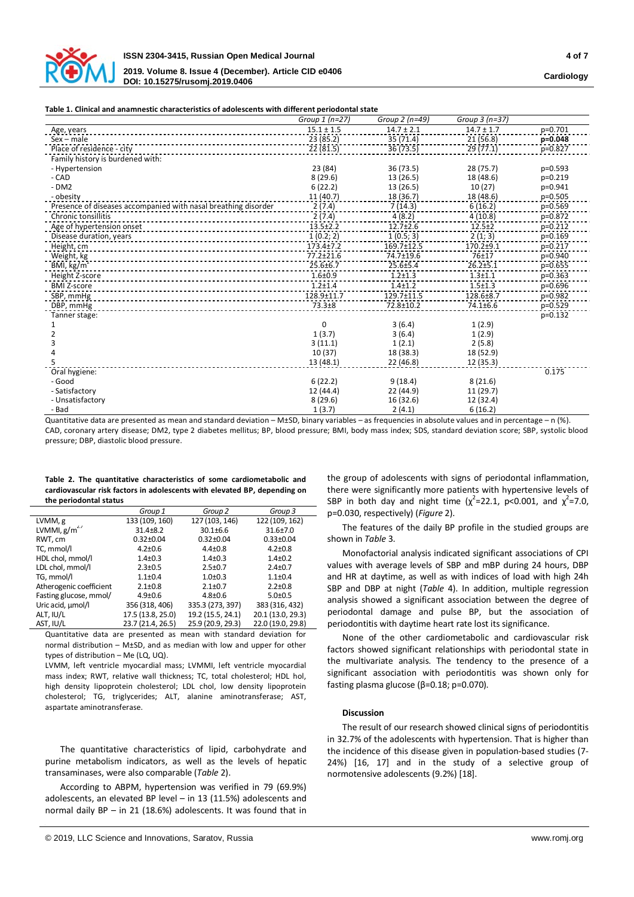

#### **Table 1. Clinical and anamnestic characteristics of adolescents with different periodontal state**

|                                                                | Group $1(n=27)$ | Group 2 (n=49) | Group 3 (n=37) |           |
|----------------------------------------------------------------|-----------------|----------------|----------------|-----------|
| Age, years                                                     | $15.1 \pm 1.5$  | $14.7 \pm 2.1$ | $14.7 \pm 1.7$ | p=0.701   |
| $Sex - male$                                                   | 23 (85.2)       | 35 (71.4)      | 21 (56.8)      | p=0.048   |
| Place of residence - city                                      | 22(81.5)        | 36 (73.5)      | 29(77.1)       | $p=0.827$ |
| Family history is burdened with:                               |                 |                |                |           |
| - Hypertension                                                 | 23 (84)         | 36 (73.5)      | 28 (75.7)      | $p=0.593$ |
| - CAD                                                          | 8(29.6)         | 13 (26.5)      | 18 (48.6)      | $p=0.219$ |
| $-DM2$                                                         | 6(22.2)         | 13(26.5)       | 10(27)         | p=0.941   |
| - obesity                                                      | 11(40.7)        | 18 (36.7)      | 18 (48.6)      | p=0.505   |
| Presence of diseases accompanied with nasal breathing disorder | 2(7.4)          | 7(14.3)        | 6(16.2)        | $p=0.569$ |
| <b>Chronic tonsillitis</b>                                     | 2(7.4)          | 4(8.2)         | 4(10.8)        | p=0.872   |
| Age of hypertension onset                                      | $13.5 \pm 2.2$  | $12.7 \pm 2.6$ | $12.5 + 2$     | $p=0.212$ |
| Disease duration, years                                        | 1(0.2; 2)       | 1(0.5; 3)      | 2(1; 3)        | $p=0.169$ |
| Height, cm                                                     | $173.4 \pm 7.2$ | 169.7±12.5     | $170.2 + 9.1$  | p=0.217   |
| Weight, kg                                                     | $77.2 \pm 21.6$ | 74.7±19.6      | 76±17          | p=0.940   |
| BMI, $\text{kg/m}^2$                                           | $25.6 \pm 6.7$  | 25.6±5.4       | $26.2 + 5.1$   | $p=0.655$ |
| Height Z-score                                                 | $1.6 + 0.9$     | $1.2 + 1.3$    | $1.3 + 1.1$    | $p=0.363$ |
| <b>BMI Z-score</b>                                             | $1.2 + 1.4$     | $1.4 + 1.2$    | $1.5 + 1.3$    | $p=0.696$ |
| SBP, mmHg                                                      | 128.9±11.7      | 129.7±11.5     | 128.6±8.7      | p=0.982   |
| DBP, mmHg                                                      | $73.3 + 8$      | 72.8±10.2      | 74.1±6.6       | $p=0.529$ |
| Tanner stage:                                                  |                 |                |                | $p=0.132$ |
|                                                                | $\Omega$        | 3(6.4)         | 1(2.9)         |           |
|                                                                | 1(3.7)          | 3(6.4)         | 1(2.9)         |           |
|                                                                | 3(11.1)         | 1(2.1)         | 2(5.8)         |           |
|                                                                | 10(37)          | 18 (38.3)      | 18 (52.9)      |           |
|                                                                | 13(48.1)        | 22(46.8)       | 12 (35.3)      |           |
| Oral hygiene:                                                  |                 |                |                | 0.175     |
| - Good                                                         | 6(22.2)         | 9(18.4)        | 8(21.6)        |           |
| - Satisfactory                                                 | 12 (44.4)       | 22 (44.9)      | 11 (29.7)      |           |
| - Unsatisfactory                                               | 8(29.6)         | 16 (32.6)      | 12 (32.4)      |           |
| - Bad                                                          | 1(3.7)          | 2(4.1)         | 6(16.2)        |           |

Quantitative data are presented as mean and standard deviation – M±SD, binary variables – as frequencies in absolute values and in percentage – n (%). CAD, coronary artery disease; DM2, type 2 diabetes mellitus; BP, blood pressure; BMI, body mass index; SDS, standard deviation score; SBP, systolic blood pressure; DBP, diastolic blood pressure.

**Table 2. The quantitative characteristics of some cardiometabolic and cardiovascular risk factors in adolescents with elevated BP, depending on the periodontal status**

|                         | Group 1           | Group 2           | Group 3           |
|-------------------------|-------------------|-------------------|-------------------|
| LVMM, g                 | 133 (109, 160)    | 127 (103, 146)    | 122 (109, 162)    |
| LVMMI, $g/m^{2.7}$      | $31.4 \pm 8.2$    | $30.1 \pm 6.6$    | $31.6 \pm 7.0$    |
| RWT, cm                 | $0.32 \pm 0.04$   | $0.32 \pm 0.04$   | $0.33 \pm 0.04$   |
| TC, mmol/l              | $4.2 \pm 0.6$     | $4.4 \pm 0.8$     | $4.2 \pm 0.8$     |
| HDL chol, mmol/l        | $1.4 \pm 0.3$     | $1.4 \pm 0.3$     | $1.4 \pm 0.2$     |
| LDL chol, mmol/l        | $2.3 \pm 0.5$     | $2.5 \pm 0.7$     | $2.4 \pm 0.7$     |
| TG, mmol/l              | $1.1 \pm 0.4$     | $1.0 + 0.3$       | $1.1 \pm 0.4$     |
| Atherogenic coefficient | $2.1 \pm 0.8$     | $2.1 \pm 0.7$     | $2.2 \pm 0.8$     |
| Fasting glucose, mmol/  | $4.9 \pm 0.6$     | $4.8 \pm 0.6$     | $5.0 \pm 0.5$     |
| Uric acid, umol/l       | 356 (318, 406)    | 335.3 (273, 397)  | 383 (316, 432)    |
| ALT, IU/L               | 17.5 (13.8, 25.0) | 19.2 (15.5, 24.1) | 20.1 (13.0, 29.3) |
| AST, IU/L               | 23.7 (21.4, 26.5) | 25.9 (20.9, 29.3) | 22.0 (19.0, 29.8) |

Quantitative data are presented as mean with standard deviation for normal distribution – M±SD, and as median with low and upper for other types of distribution – Me (LQ, UQ).

LVMM, left ventricle myocardial mass; LVMMI, left ventricle myocardial mass index; RWT, relative wall thickness; TC, total cholesterol; HDL hol, high density lipoprotein cholesterol; LDL chol, low density lipoprotein cholesterol; TG, triglycerides; ALT, alanine aminotransferase; AST, aspartate aminotransferase.

The quantitative characteristics of lipid, carbohydrate and purine metabolism indicators, as well as the levels of hepatic transaminases, were also comparable (*Table* 2).

According to ABPM, hypertension was verified in 79 (69.9%) adolescents, an elevated BP level – in 13 (11.5%) adolescents and normal daily BP – in 21 (18.6%) adolescents. It was found that in

the group of adolescents with signs of periodontal inflammation, there were significantly more patients with hypertensive levels of SBP in both day and night time ( $\chi^2$ =22.1, p<0.001, and  $\chi^2$ =7.0, р=0.030, respectively) (*Figure* 2).

The features of the daily BP profile in the studied groups are shown in *Table* 3.

Monofactorial analysis indicated significant associations of CPI values with average levels of SBP and mBP during 24 hours, DBP and HR at daytime, as well as with indices of load with high 24h SBP and DBP at night (*Table* 4). In addition, multiple regression analysis showed a significant association between the degree of periodontal damage and pulse BP, but the association of periodontitis with daytime heart rate lost its significance.

None of the other cardiometabolic and cardiovascular risk factors showed significant relationships with periodontal state in the multivariate analysis. The tendency to the presence of a significant association with periodontitis was shown only for fasting plasma glucose (β=0.18; p=0.070).

### **Discussion**

The result of our research showed clinical signs of periodontitis in 32.7% of the adolescents with hypertension. That is higher than the incidence of this disease given in population-based studies (7- 24%) [16, 17] and in the study of a selective group of normotensive adolescents (9.2%) [18].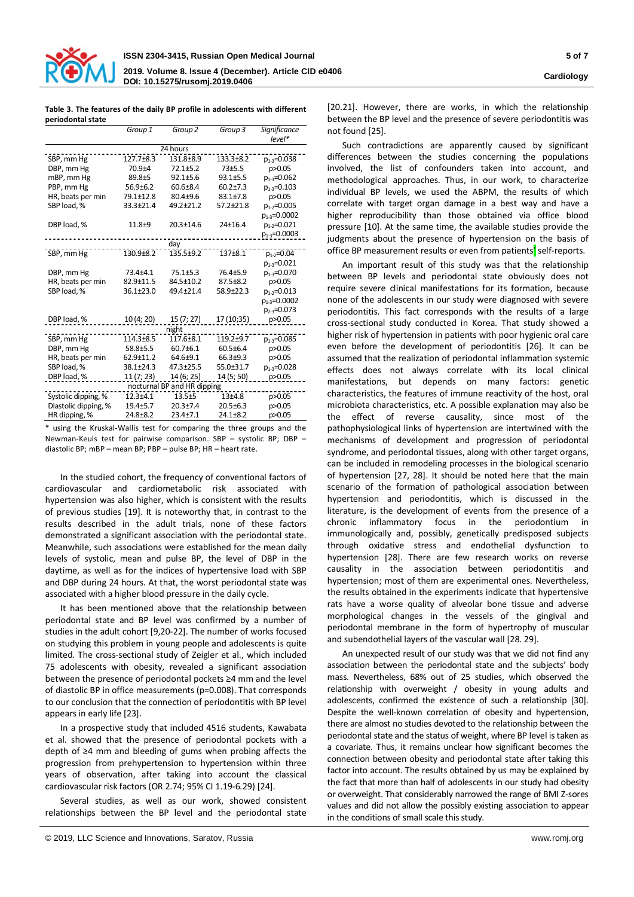

#### **Table 3. The features of the daily BP profile in adolescents with different periodontal state**

|                             | Group 1        | Group <sub>2</sub> | Group 3         | <b>Significance</b> |  |
|-----------------------------|----------------|--------------------|-----------------|---------------------|--|
|                             |                |                    |                 | $level*$            |  |
| 24 hours                    |                |                    |                 |                     |  |
| SBP, mm Hg                  | 127.7±8.3      | 131.8±8.9          | 133.3±8.2       | $p_{1.3} = 0.038$   |  |
| DBP, mm Hg                  | $70.9 + 4$     | $72.1 + 5.2$       | $73 + 5.5$      | p>0.05              |  |
| mBP, mm Hg                  | 89.8±5         | $92.1 + 5.6$       | $93.1 + 5.5$    | $p_{1,3} = 0.062$   |  |
| PBP, mm Hg                  | $56.9{\pm}6.2$ | $60.6 \pm 8.4$     | $60.2{\pm}7.3$  | $p_{1-3} = 0.103$   |  |
| HR, beats per min           | 79.1±12.8      | 80.4±9.6           | $83.1 \pm 7.8$  | p>0.05              |  |
| SBP load, %                 | 33.3±21.4      | 49.2±21.2          | $57.2 \pm 21.8$ | $p_{1.2} = 0.005$   |  |
|                             |                |                    |                 | $p_{1-3} = 0.0002$  |  |
| DBP load, %                 | $11.8 + 9$     | $20.3 \pm 14.6$    | 24±16.4         | $p_{1,2}=0.021$     |  |
|                             |                |                    |                 | $p_{1-3} = 0.0003$  |  |
|                             |                | day                |                 |                     |  |
| SBP, mm Hg                  | 130.9±8.2      | 135.5±9.2          | 137±8.1         | $p_{1-2} = 0.04$    |  |
|                             |                |                    |                 | $p_{1-3} = 0.021$   |  |
| DBP, mm Hg                  | $73.4 + 4.1$   | $75.1 + 5.3$       | 76.4+5.9        | $p_{1-3} = 0.070$   |  |
| HR, beats per min           | 82.9±11.5      | 84.5±10.2          | $87.5 \pm 8.2$  | p>0.05              |  |
| SBP load, %                 | 36.1±23.0      | 49.4±21.4          | 58.9±22.3       | $p_{1.2} = 0.013$   |  |
|                             |                |                    |                 | $p_{1-3} = 0.0002$  |  |
|                             |                |                    |                 | $p_{23} = 0.073$    |  |
| DBP load, %                 | 10 (4; 20)     | 15 (7; 27)         | 17 (10;35)      | p>0.05              |  |
|                             |                | night              |                 |                     |  |
| SBP, mm Hg                  | 114.3±8.5      | $117.6 + 8.1$      | 119.2±9.7       | $p_{1.3} = 0.085$   |  |
| DBP, mm Hg                  | 58.8±5.5       | $60.7 \pm 6.1$     | $60.5 \pm 6.4$  | p>0.05              |  |
| HR, beats per min           | 62.9±11.2      | 64.6±9.1           | 66.3±9.3        | p>0.05              |  |
| SBP load, %                 | 38.1±24.3      | $47.3 + 25.5$      | 55.0±31.7       | $p_{1.3} = 0.028$   |  |
| DBP load, %                 | 11(7; 23)      | 14 (6; 25)         | 14 (5; 50)      | p>0.05              |  |
| nocturnal BP and HR dipping |                |                    |                 |                     |  |
| Systolic dipping, %         | $12.3 + 4.1$   | $13.5 + 5$         | $13 + 4.8$      | p>0.05              |  |
| Diastolic dipping, %        | 19.4±5.7       | $20.3 + 7.4$       | $20.5 \pm 6.3$  | p>0.05              |  |
| HR dipping, %               | $24.8 + 8.2$   | $23.4 + 7.1$       | $24.1 + 8.2$    | p>0.05              |  |

\* using the Kruskal-Wallis test for comparing the three groups and the Newman-Keuls test for pairwise comparison. SBP – systolic BP; DBP – diastolic BP; mBP – mean BP; PBP – pulse BP; HR – heart rate.

In the studied cohort, the frequency of conventional factors of cardiovascular and cardiometabolic risk associated with hypertension was also higher, which is consistent with the results of previous studies [19]. It is noteworthy that, in contrast to the results described in the adult trials, none of these factors demonstrated a significant association with the periodontal state. Meanwhile, such associations were established for the mean daily levels of systolic, mean and pulse BP, the level of DBP in the daytime, as well as for the indices of hypertensive load with SBP and DBP during 24 hours. At that, the worst periodontal state was associated with a higher blood pressure in the daily cycle.

It has been mentioned above that the relationship between periodontal state and BP level was confirmed by a number of studies in the adult cohort [9,20-22]. The number of works focused on studying this problem in young people and adolescents is quite limited. The cross-sectional study of Zeigler et al., which included 75 adolescents with obesity, revealed a significant association between the presence of periodontal pockets ≥4 mm and the level of diastolic BP in office measurements (p=0.008). That corresponds to our conclusion that the connection of periodontitis with BP level appears in early life [23].

In a prospective study that included 4516 students, Kawabata et al. showed that the presence of periodontal pockets with a depth of ≥4 mm and bleeding of gums when probing affects the progression from prehypertension to hypertension within three years of observation, after taking into account the classical cardiovascular risk factors (OR 2.74; 95% CI 1.19-6.29) [24].

Several studies, as well as our work, showed consistent relationships between the BP level and the periodontal state [20.21]. However, there are works, in which the relationship between the BP level and the presence of severe periodontitis was not found [25].

Such contradictions are apparently caused by significant differences between the studies concerning the populations involved, the list of confounders taken into account, and methodological approaches. Thus, in our work, to characterize individual BP levels, we used the ABPM, the results of which correlate with target organ damage in a best way and have a higher reproducibility than those obtained via office blood pressure [10]. At the same time, the available studies provide the judgments about the presence of hypertension on the basis of office BP measurement results or even from patients' self-reports.

An important result of this study was that the relationship between BP levels and periodontal state obviously does not require severe clinical manifestations for its formation, because none of the adolescents in our study were diagnosed with severe periodontitis. This fact corresponds with the results of a large cross-sectional study conducted in Korea. That study showed a higher risk of hypertension in patients with poor hygienic oral care even before the development of periodontitis [26]. It can be assumed that the realization of periodontal inflammation systemic effects does not always correlate with its local clinical manifestations, but depends on many factors: genetic characteristics, the features of immune reactivity of the host, oral microbiota characteristics, etc. A possible explanation may also be the effect of reverse causality, since most of the pathophysiological links of hypertension are intertwined with the mechanisms of development and progression of periodontal syndrome, and periodontal tissues, along with other target organs, can be included in remodeling processes in the biological scenario of hypertension [27, 28]. It should be noted here that the main scenario of the formation of pathological association between hypertension and periodontitis, which is discussed in the literature, is the development of events from the presence of a chronic inflammatory focus in the periodontium in immunologically and, possibly, genetically predisposed subjects through oxidative stress and endothelial dysfunction to hypertension [28]. There are few research works on reverse causality in the association between periodontitis and hypertension; most of them are experimental ones. Nevertheless, the results obtained in the experiments indicate that hypertensive rats have a worse quality of alveolar bone tissue and adverse morphological changes in the vessels of the gingival and periodontal membrane in the form of hypertrophy of muscular and subendothelial layers of the vascular wall [28. 29].

An unexpected result of our study was that we did not find any association between the periodontal state and the subjects' body mass. Nevertheless, 68% out of 25 studies, which observed the relationship with overweight / obesity in young adults and adolescents, confirmed the existence of such a relationship [30]. Despite the well-known correlation of obesity and hypertension, there are almost no studies devoted to the relationship between the periodontal state and the status of weight, where BP level is taken as a covariate. Thus, it remains unclear how significant becomes the connection between obesity and periodontal state after taking this factor into account. The results obtained by us may be explained by the fact that more than half of adolescents in our study had obesity or overweight. That considerably narrowed the range of BMI Z-sores values and did not allow the possibly existing association to appear in the conditions of small scale this study.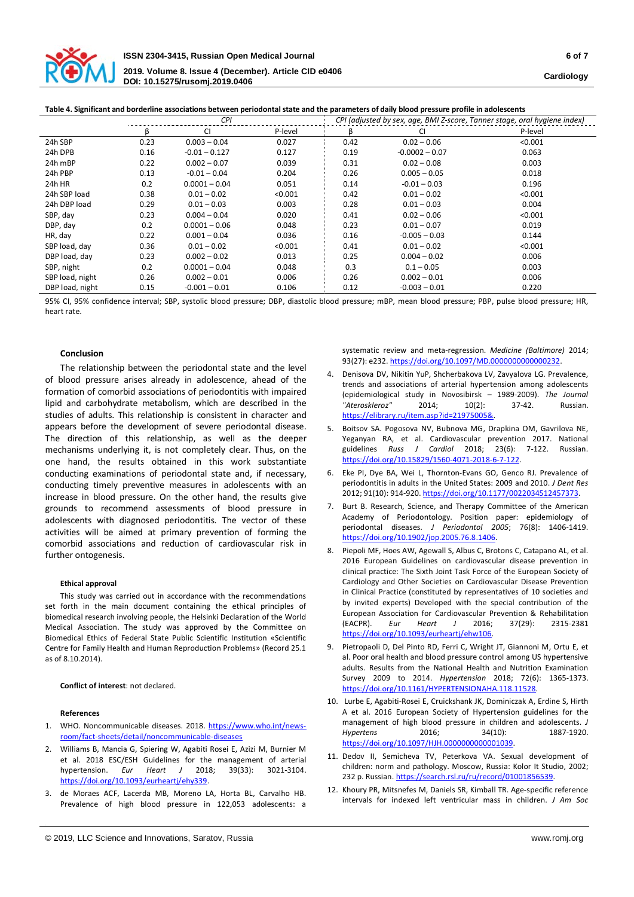

| rapic +. Significant and bordernite associations between periodonial state and the parameters or dany blood pressure prome in adolestents |      |                 |                                                                           |      |                  |         |
|-------------------------------------------------------------------------------------------------------------------------------------------|------|-----------------|---------------------------------------------------------------------------|------|------------------|---------|
|                                                                                                                                           | CPI  |                 | CPI (adjusted by sex, age, BMI Z-score, Tanner stage, oral hygiene index) |      |                  |         |
|                                                                                                                                           | ĸ    | CI              | P-level                                                                   | ß    | СI               | P-level |
| 24h SBP                                                                                                                                   | 0.23 | $0.003 - 0.04$  | 0.027                                                                     | 0.42 | $0.02 - 0.06$    | < 0.001 |
| 24h DPB                                                                                                                                   | 0.16 | $-0.01 - 0.127$ | 0.127                                                                     | 0.19 | $-0.0002 - 0.07$ | 0.063   |
| 24h mBP                                                                                                                                   | 0.22 | $0.002 - 0.07$  | 0.039                                                                     | 0.31 | $0.02 - 0.08$    | 0.003   |
| 24h PBP                                                                                                                                   | 0.13 | $-0.01 - 0.04$  | 0.204                                                                     | 0.26 | $0.005 - 0.05$   | 0.018   |
| 24h HR                                                                                                                                    | 0.2  | $0.0001 - 0.04$ | 0.051                                                                     | 0.14 | $-0.01 - 0.03$   | 0.196   |
| 24h SBP load                                                                                                                              | 0.38 | $0.01 - 0.02$   | < 0.001                                                                   | 0.42 | $0.01 - 0.02$    | < 0.001 |
| 24h DBP load                                                                                                                              | 0.29 | $0.01 - 0.03$   | 0.003                                                                     | 0.28 | $0.01 - 0.03$    | 0.004   |
| SBP, day                                                                                                                                  | 0.23 | $0.004 - 0.04$  | 0.020                                                                     | 0.41 | $0.02 - 0.06$    | < 0.001 |
| DBP, day                                                                                                                                  | 0.2  | $0.0001 - 0.06$ | 0.048                                                                     | 0.23 | $0.01 - 0.07$    | 0.019   |
| HR, day                                                                                                                                   | 0.22 | $0.001 - 0.04$  | 0.036                                                                     | 0.16 | $-0.005 - 0.03$  | 0.144   |
| SBP load, day                                                                                                                             | 0.36 | $0.01 - 0.02$   | < 0.001                                                                   | 0.41 | $0.01 - 0.02$    | < 0.001 |
| DBP load, day                                                                                                                             | 0.23 | $0.002 - 0.02$  | 0.013                                                                     | 0.25 | $0.004 - 0.02$   | 0.006   |
| SBP, night                                                                                                                                | 0.2  | $0.0001 - 0.04$ | 0.048                                                                     | 0.3  | $0.1 - 0.05$     | 0.003   |
| SBP load, night                                                                                                                           | 0.26 | $0.002 - 0.01$  | 0.006                                                                     | 0.26 | $0.002 - 0.01$   | 0.006   |
| DBP load, night                                                                                                                           | 0.15 | $-0.001 - 0.01$ | 0.106                                                                     | 0.12 | $-0.003 - 0.01$  | 0.220   |

**Table 4. Significant and borderline associations between periodontal state and the parameters of daily blood pressure profile in adolescents**

95% CI, 95% confidence interval; SBP, systolic blood pressure; DBP, diastolic blood pressure; mBP, mean blood pressure; PBP, pulse blood pressure; HR, heart rate.

## **Conclusion**

The relationship between the periodontal state and the level of blood pressure arises already in adolescence, ahead of the formation of comorbid associations of periodontitis with impaired lipid and carbohydrate metabolism, which are described in the studies of adults. This relationship is consistent in character and appears before the development of severe periodontal disease. The direction of this relationship, as well as the deeper mechanisms underlying it, is not completely clear. Thus, on the one hand, the results obtained in this work substantiate conducting examinations of periodontal state and, if necessary, conducting timely preventive measures in adolescents with an increase in blood pressure. On the other hand, the results give grounds to recommend assessments of blood pressure in adolescents with diagnosed periodontitis. The vector of these activities will be aimed at primary prevention of forming the comorbid associations and reduction of cardiovascular risk in further ontogenesis.

#### **Ethical approval**

This study was carried out in accordance with the recommendations set forth in the main document containing the ethical principles of biomedical research involving people, the Helsinki Declaration of the World Medical Association. The study was approved by the Committee on Biomedical Ethics of Federal State Public Scientific Institution «Scientific Сentre for Family Health and Human Reproduction Problems» (Record 25.1 as of 8.10.2014).

**Conflict of interest**: not declared.

#### **References**

- 1. WHO. Noncommunicable diseases. 2018. [https://www.who.int/new](https://www.who.int/news-room/fact-sheets/detail/noncommunicable-diseases)sroom/fact-[sheets/detail/noncommunicable](https://www.who.int/news-room/fact-sheets/detail/noncommunicable-diseases)-diseases
- 2. Williams B, Mancia G, Spiering W, Agabiti Rosei E, Azizi M, Burnier M et al. 2018 ESC/ESH Guidelines for the management of arterial hypertension. *Eur Heart J* 2018; 39(33): 3021-3104. <https://doi.org/10.1093/eurheartj/ehy339>.
- 3. de Moraes ACF, Lacerda MB, Moreno LA, Horta BL, Carvalho HB. Prevalence of high blood pressure in 122,053 adolescents: a

systematic review and meta-regression. *Medicine (Baltimore)* 2014; 93(27): e232. <https://doi.org/10.1097/MD.0000000000000232>.

- 4. Denisova DV, Nikitin YuP, Shcherbakova LV, Zavyalova LG. Prevalence, trends and associations of arterial hypertension among adolescents (epidemiological study in Novosibirsk – 1989-2009). *The Journal "Ateroskleroz"* 2014; 10(2): 37-42. Russian. <https://elibrary.ru/item.asp?id=21975005&>.
- 5. Boitsov SA. Pogosova NV, Bubnova MG, Drapkina OM, Gavrilova NE, Yeganyan RA, et al. Cardiovascular prevention 2017. National guidelines *Russ J Cardiol* 2018; 23(6): 7-122. Russian. [https://doi.org/10.15829/1560](https://doi.org/10.15829/1560-4071-2018-6-7-122)-4071-2018-6-7-122.
- 6. Eke PI, Dye BA, Wei L, Thornton-Evans GO, Genco RJ. Prevalence of periodontitis in adults in the United States: 2009 and 2010. *J Dent Res* 2012; 91(10): 914-920. [https://doi.org/10.1177/002203451245](https://doi.org/10.1177/0022034512457373)7373.
- 7. Burt B. Research, Science, and Therapy Committee of the American Academy of Periodontology. Position paper: epidemiology of periodontal diseases. *J Periodontol 2005*; 76(8): 1406-1419. <https://doi.org/10.1902/jop.2005.76.8.1406>.
- 8. Piepoli MF, Hoes AW, Agewall S, Albus C, Brotons C, Catapano AL, et al. 2016 European Guidelines on cardiovascular disease prevention in clinical practice: The Sixth Joint Task Force of the European Society of Cardiology and Other Societies on Cardiovascular Disease Prevention in Clinical Practice (constituted by representatives of 10 societies and by invited experts) Developed with the special contribution of the European Association for Cardiovascular Prevention & Rehabilitation (EACPR). *Eur Heart J* 2016; 37(29): 2315-2381 <https://doi.org/10.1093/eurheartj/ehw106>.
- 9. Pietropaoli D, Del Pinto RD, Ferri C, Wright JT, Giannoni M, Ortu E, et al. Poor oral health and blood pressure control among US hypertensive adults. Results from the National Health and Nutrition Examination Survey 2009 to 2014. *Hypertension* 2018; 72(6): 1365-1373. <https://doi.org/10.1161/HYPERTENSIONAHA.118.11528>.
- 10. Lurbe E, Agabiti-Rosei E, Cruickshank JK, Dominiczak A, Erdine S, Hirth A et al. 2016 European Society of Hypertension guidelines for the management of high blood pressure in children and adolescents. *J Hypertens* 2016; 34(10): 1887-1920. <https://doi.org/10.1097/HJH.0000000000001039>.
- 11. Dedov II, Semicheva TV, Peterkova VA. Sexual development of children: norm and pathology. Moscow, Russia: Kolor It Studio, 2002; 232 p. Russian. <https://search.rsl.ru/ru/record/01001856539>.
- 12. Khoury PR, Mitsnefes M, Daniels SR, Kimball TR. Age-specific reference intervals for indexed left ventricular mass in children. *J Am Soc*